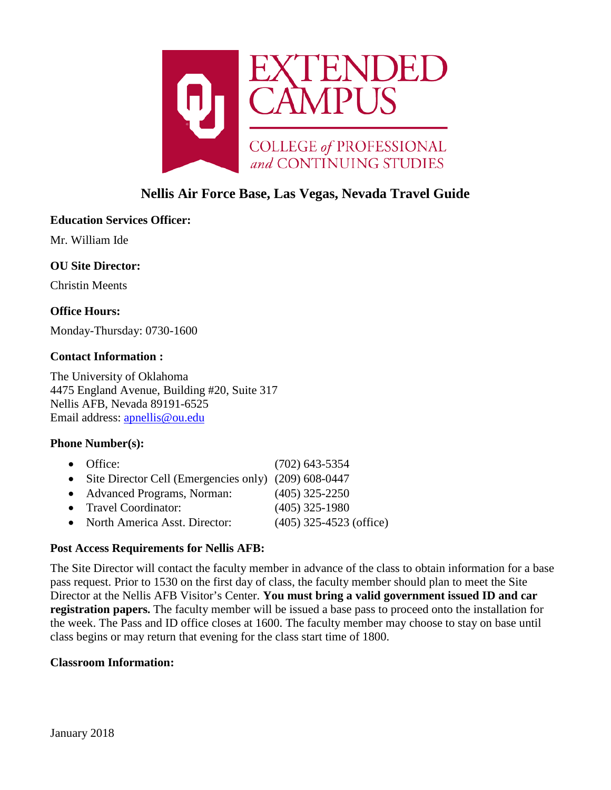

# **Nellis Air Force Base, Las Vegas, Nevada Travel Guide**

# **Education Services Officer:**

Mr. William Ide

# **OU Site Director:**

Christin Meents

# **Office Hours:**

Monday-Thursday: 0730-1600

### **Contact Information :**

The University of Oklahoma 4475 England Avenue, Building #20, Suite 317 Nellis AFB, Nevada 89191-6525 Email address: [apnellis@ou.edu](mailto:apnellis@ou.edu)

# **Phone Number(s):**

| $\bullet$ Office:                                      | $(702)$ 643-5354          |
|--------------------------------------------------------|---------------------------|
| • Site Director Cell (Emergencies only) (209) 608-0447 |                           |
| • Advanced Programs, Norman:                           | $(405)$ 325-2250          |
| • Travel Coordinator:                                  | $(405)$ 325-1980          |
| • North America Asst. Director:                        | $(405)$ 325-4523 (office) |

### **Post Access Requirements for Nellis AFB:**

The Site Director will contact the faculty member in advance of the class to obtain information for a base pass request. Prior to 1530 on the first day of class, the faculty member should plan to meet the Site Director at the Nellis AFB Visitor's Center. **You must bring a valid government issued ID and car registration papers.** The faculty member will be issued a base pass to proceed onto the installation for the week. The Pass and ID office closes at 1600. The faculty member may choose to stay on base until class begins or may return that evening for the class start time of 1800.

### **Classroom Information:**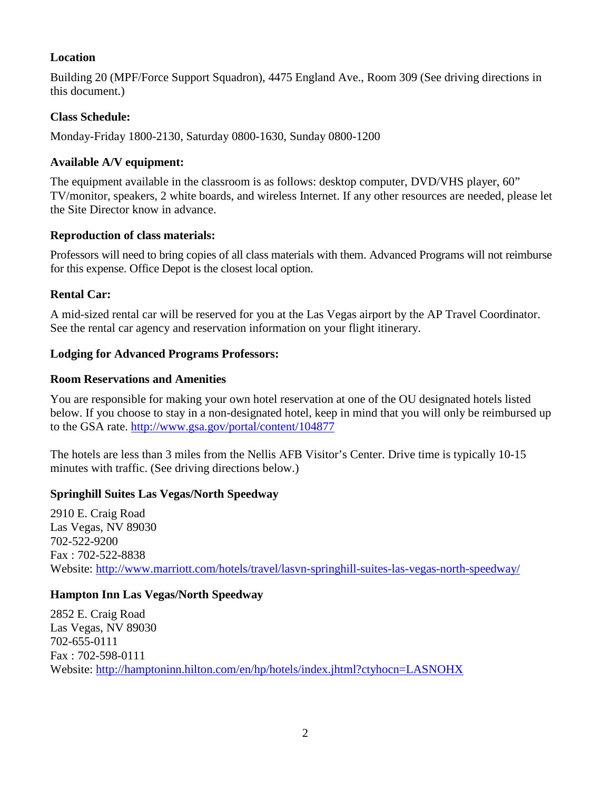# **Location**

Building 20 (MPF/Force Support Squadron), 4475 England Ave., Room 309 (See driving directions in this document.)

# **Class Schedule:**

Monday-Friday 1800-2130, Saturday 0800-1630, Sunday 0800-1200

# **Available A/V equipment:**

The equipment available in the classroom is as follows: desktop computer, DVD/VHS player, 60" TV/monitor, speakers, 2 white boards, and wireless Internet. If any other resources are needed, please let the Site Director know in advance.

# **Reproduction of class materials:**

Professors will need to bring copies of all class materials with them. Advanced Programs will not reimburse for this expense. Office Depot is the closest local option.

# **Rental Car:**

A mid-sized rental car will be reserved for you at the Las Vegas airport by the AP Travel Coordinator. See the rental car agency and reservation information on your flight itinerary.

# **Lodging for Advanced Programs Professors:**

# **Room Reservations and Amenities**

You are responsible for making your own hotel reservation at one of the OU designated hotels listed below. If you choose to stay in a non-designated hotel, keep in mind that you will only be reimbursed up to the GSA rate.<http://www.gsa.gov/portal/content/104877>

The hotels are less than 3 miles from the Nellis AFB Visitor's Center. Drive time is typically 10-15 minutes with traffic. (See driving directions below.)

# **Springhill Suites Las Vegas/North Speedway**

2910 E. Craig Road Las Vegas, NV 89030 702-522-9200 Fax : 702-522-8838 Website:<http://www.marriott.com/hotels/travel/lasvn-springhill-suites-las-vegas-north-speedway/>

# **Hampton Inn Las Vegas/North Speedway**

2852 E. Craig Road Las Vegas, NV 89030 702-655-0111 Fax : 702-598-0111 Website: <http://hamptoninn.hilton.com/en/hp/hotels/index.jhtml?ctyhocn=LASNOHX>